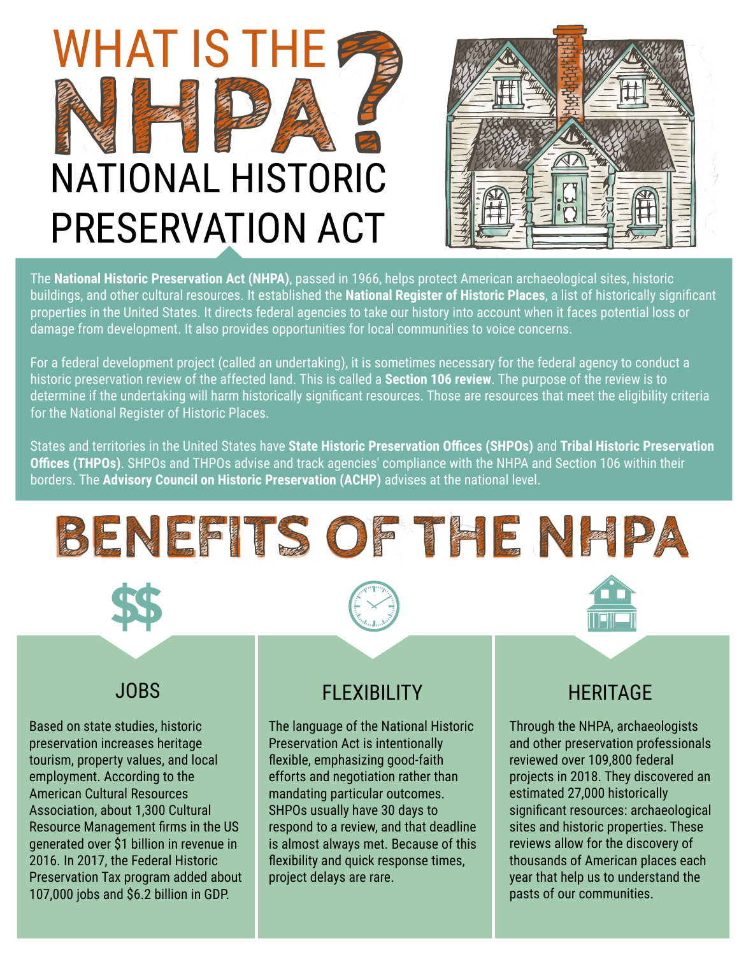



The **National Historic Preservation Act (NHPA)**, passed in 1966, helps protect American archaeological sites, historic buildings, and other cultural resources. It established the **National Register of Historic Places**, a list of historically significant properties in the United States. It directs federal agencies to take our history into account when it faces potential loss or damage from development. It also provides opportunities for local communities to voice concerns.

For a federal development project (called an undertaking), it is sometimes necessary for the federal agency to conduct a historic preservation review of the affected land. This is called a **Section 106 review**. The purpose of the review is to determine if the undertaking will harm historically significant resources. Those are resources that meet the eligibility criteria for the National Register of Historic Places.

States and territories in the United States have **State Historic Preservation Offices (SHPOs)** and **Tribal Historic Preservation Offices (THPOs)**. SHPOs and THPOs advise and track agencies' compliance with the NHPA and Section 106 within their borders. The **Advisory Council on Historic Preservation (ACHP)** advises at the national level.





## JOBS

Based on state studies, historic preservation increases heritage tourism, property values, and local employment. According to the American Cultural Resources Association, about 1,300 Cultural Resource Management firms in the US generated over \$1 billion in revenue in 2016. In 2017, the Federal Historic Preservation Tax program added about 107,000 jobs and \$6.2 billion in GDP.

## FLEXIBILITY

The language of the National Historic Preservation Act is intentionally flexible, emphasizing good-faith efforts and negotiation rather than mandating particular outcomes. SHPOs usually have 30 days to respond to a review, and that deadline is almost always met. Because of this flexibility and quick response times, project delays are rare.

## **HERITAGE**

Through the NHPA, archaeologists and other preservation professionals reviewed over 109,800 federal projects in 2018. They discovered an estimated 27,000 historically significant resources: archaeological sites and historic properties. These reviews allow for the discovery of thousands of American places each year that help us to understand the pasts of our communities.